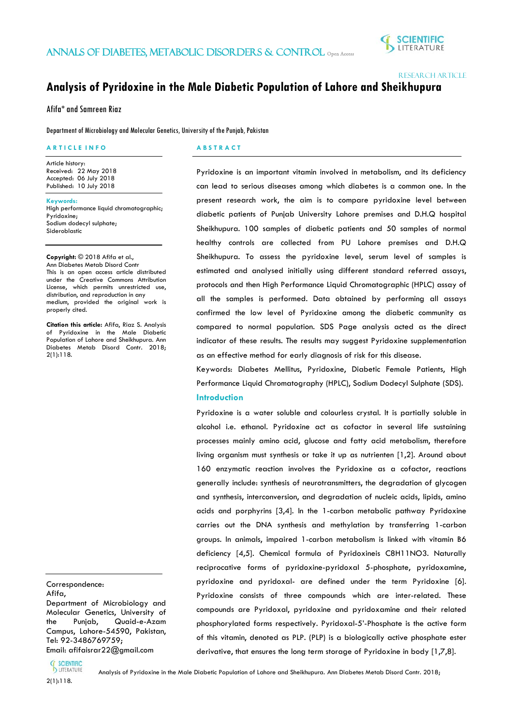ֺ֖֚֝֬



Research Article

# **Analysis of Pyridoxine in the Male Diabetic Population of Lahore and Sheikhupura**

Afifa\* and Samreen Riaz

Department of Microbiology and Molecular Genetics, University of the Punjab, Pakistan

# **A R T I C L E I N F O**

Article history: Received: 22 May 2018 Accepted: 06 July 2018 Published: 10 July 2018

**Keywords:** High performance liquid chromatographic; Pyridoxine; Sodium dodecyl sulphate; Sideroblastic

# **Copyright:** © 2018 Afifa et al.,

Ann Diabetes Metab Disord Contr This is an open access article distributed under the Creative Commons Attribution License, which permits unrestricted use, distribution, and reproduction in any medium, provided the original work is properly cited.

**Citation this article:** Afifa, Riaz S. Analysis of Pyridoxine in the Male Diabetic Population of Lahore and Sheikhupura. Ann Diabetes Metab Disord Contr. 2018; 2(1):118.

# Correspondence:

ׇ֞֘֡

Afifa, Department of Microbiology and Molecular Genetics, University of the Punjab, Quaid-e-Azam Campus, Lahore-54590, Pakistan, Tel: 92-3486769759; Email: afifaisrar22@gmail.com

# **A B S T R A C T**

Pyridoxine is an important vitamin involved in metabolism, and its deficiency can lead to serious diseases among which diabetes is a common one. In the present research work, the aim is to compare pyridoxine level between diabetic patients of Punjab University Lahore premises and D.H.Q hospital Sheikhupura. 100 samples of diabetic patients and 50 samples of normal healthy controls are collected from PU Lahore premises and D.H.Q Sheikhupura. To assess the pyridoxine level, serum level of samples is estimated and analysed initially using different standard referred assays, protocols and then High Performance Liquid Chromatographic (HPLC) assay of all the samples is performed. Data obtained by performing all assays confirmed the low level of Pyridoxine among the diabetic community as compared to normal population. SDS Page analysis acted as the direct indicator of these results. The results may suggest Pyridoxine supplementation as an effective method for early diagnosis of risk for this disease.

Keywords: Diabetes Mellitus, Pyridoxine, Diabetic Female Patients, High Performance Liquid Chromatography (HPLC), Sodium Dodecyl Sulphate (SDS). **Introduction**

Pyridoxine is a water soluble and colourless crystal. It is partially soluble in alcohol i.e. ethanol. Pyridoxine act as cofactor in several life sustaining processes mainly amino acid, glucose and fatty acid metabolism, therefore living organism must synthesis or take it up as nutrienten [1,2]. Around about 160 enzymatic reaction involves the Pyridoxine as a cofactor, reactions generally include: synthesis of neurotransmitters, the degradation of glycogen and synthesis, interconversion, and degradation of nucleic acids, lipids, amino acids and porphyrins [3,4]. In the 1-carbon metabolic pathway Pyridoxine carries out the DNA synthesis and methylation by transferring 1-carbon groups. In animals, impaired 1-carbon metabolism is linked with vitamin B6 deficiency [4,5]. Chemical formula of Pyridoxineis C8H11NO3. Naturally reciprocative forms of pyridoxine-pyridoxal 5-phosphate, pyridoxamine, pyridoxine and pyridoxal- are defined under the term Pyridoxine [6]. Pyridoxine consists of three compounds which are inter-related. These compounds are Pyridoxal, pyridoxine and pyridoxamine and their related phosphorylated forms respectively. Pyridoxal-5'-Phosphate is the active form of this vitamin, denoted as PLP. (PLP) is a biologically active phosphate ester derivative, that ensures the long term storage of Pyridoxine in body [1,7,8].



Analysis of Pyridoxine in the Male Diabetic Population of Lahore and Sheikhupura. Ann Diabetes Metab Disord Contr. 2018;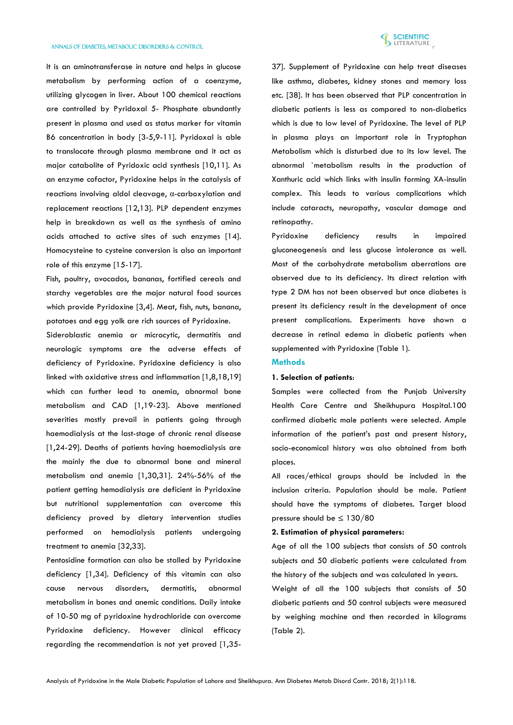

It is an aminotransferase in nature and helps in glucose metabolism by performing action of a coenzyme, utilizing glycogen in liver. About 100 chemical reactions are controlled by Pyridoxal 5- Phosphate abundantly present in plasma and used as status marker for vitamin B6 concentration in body [3-5,9-11]. Pyridoxal is able to translocate through plasma membrane and it act as major catabolite of Pyridoxic acid synthesis [10,11]. As an enzyme cofactor, Pyridoxine helps in the catalysis of reactions involving aldol cleavage, α-carboxylation and replacement reactions [12,13]. PLP dependent enzymes help in breakdown as well as the synthesis of amino acids attached to active sites of such enzymes [14]. Homocysteine to cysteine conversion is also an important role of this enzyme [15-17].

Fish, poultry, avocados, bananas, fortified cereals and starchy vegetables are the major natural food sources which provide Pyridoxine [3,4]. Meat, fish, nuts, banana, potatoes and egg yolk are rich sources of Pyridoxine.

Sideroblastic anemia or microcytic, dermatitis and neurologic symptoms are the adverse effects of deficiency of Pyridoxine. Pyridoxine deficiency is also linked with oxidative stress and inflammation [1,8,18,19] which can further lead to anemia, abnormal bone metabolism and CAD [1,19-23]. Above mentioned severities mostly prevail in patients going through haemodialysis at the last-stage of chronic renal disease [1,24-29]. Deaths of patients having haemodialysis are the mainly the due to abnormal bone and mineral metabolism and anemia [1,30,31]. 24%-56% of the patient getting hemodialysis are deficient in Pyridoxine but nutritional supplementation can overcome this deficiency proved by dietary intervention studies performed on hemodialysis patients undergoing treatment to anemia [32,33].

Pentosidine formation can also be stalled by Pyridoxine deficiency [1,34]. Deficiency of this vitamin can also cause nervous disorders, dermatitis, abnormal metabolism in bones and anemic conditions. Daily intake of 10-50 mg of pyridoxine hydrochloride can overcome Pyridoxine deficiency. However clinical efficacy regarding the recommendation is not yet proved [1,35-

37]. Supplement of Pyridoxine can help treat diseases like asthma, diabetes, kidney stones and memory loss etc. [38]. It has been observed that PLP concentration in diabetic patients is less as compared to non-diabetics which is due to low level of Pyridoxine. The level of PLP in plasma plays an important role in Tryptophan Metabolism which is disturbed due to its low level. The abnormal `metabolism results in the production of Xanthuric acid which links with insulin forming XA-insulin complex. This leads to various complications which include cataracts, neuropathy, vascular damage and retinopathy.

Pyridoxine deficiency results in impaired gluconeogenesis and less glucose intolerance as well. Most of the carbohydrate metabolism aberrations are observed due to its deficiency. Its direct relation with type 2 DM has not been observed but once diabetes is present its deficiency result in the development of once present complications. Experiments have shown a decrease in retinal edema in diabetic patients when supplemented with Pyridoxine (Table 1).

# **Methods**

# **1. Selection of patients**:

Samples were collected from the Punjab University Health Care Centre and Sheikhupura Hospital.100 confirmed diabetic male patients were selected. Ample information of the patient's past and present history, socio-economical history was also obtained from both places.

All races/ethical groups should be included in the inclusion criteria. Population should be male. Patient should have the symptoms of diabetes. Target blood pressure should be ≤ 130/80

# **2. Estimation of physical parameters:**

Age of all the 100 subjects that consists of 50 controls subjects and 50 diabetic patients were calculated from the history of the subjects and was calculated in years.

Weight of all the 100 subjects that consists of 50 diabetic patients and 50 control subjects were measured by weighing machine and then recorded in kilograms (Table 2).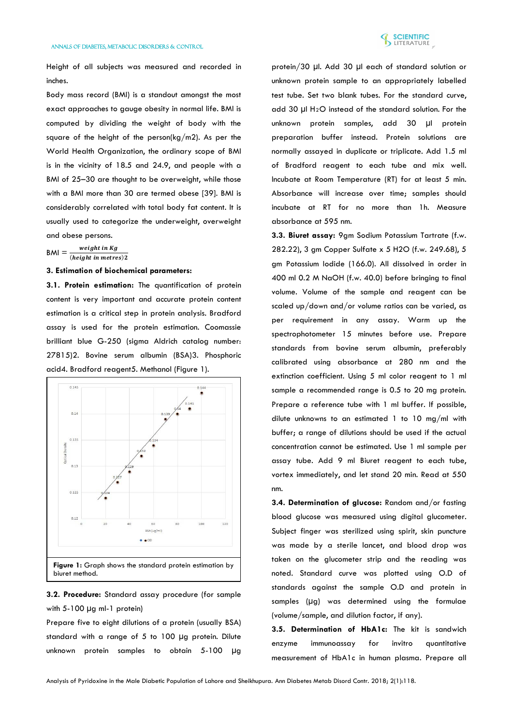

Height of all subjects was measured and recorded in inches.

Body mass record (BMI) is a standout amongst the most exact approaches to gauge obesity in normal life. BMI is computed by dividing the weight of body with the square of the height of the person(kg/m2). As per the World Health Organization, the ordinary scope of BMI is in the vicinity of 18.5 and 24.9, and people with a BMI of 25–30 are thought to be overweight, while those with a BMI more than 30 are termed obese [39]. BMI is considerably correlated with total body fat content. It is usually used to categorize the underweight, overweight and obese persons.

 $|BM| = \frac{weight \, in \, Kg}{(height \, in \, metres)}$ 

# **3. Estimation of biochemical parameters:**

**3.1. Protein estimation:** The quantification of protein content is very important and accurate protein content estimation is a critical step in protein analysis. Bradford assay is used for the protein estimation. Coomassie brilliant blue G-250 (sigma Aldrich catalog number: 27815)2. Bovine serum albumin (BSA)3. Phosphoric acid4. Bradford reagent5. Methanol (Figure 1).



**3.2. Procedure:** Standard assay procedure (for sample with 5-100 µg ml-1 protein)

Prepare five to eight dilutions of a protein (usually BSA) standard with a range of 5 to 100 µg protein. Dilute unknown protein samples to obtain 5-100 µg

protein/30 µl. Add 30 µl each of standard solution or unknown protein sample to an appropriately labelled test tube. Set two blank tubes. For the standard curve, add 30 µl H2 O instead of the standard solution. For the unknown protein samples, add 30 µl protein preparation buffer instead. Protein solutions are normally assayed in duplicate or triplicate. Add 1.5 ml of Bradford reagent to each tube and mix well. Incubate at Room Temperature (RT) for at least 5 min. Absorbance will increase over time; samples should incubate at RT for no more than 1h. Measure absorbance at 595 nm.

**3.3. Biuret assay:** 9gm Sodium Potassium Tartrate (f.w. 282.22), 3 gm Copper Sulfate x 5 H2O (f.w. 249.68), 5 gm Potassium Iodide (166.0). All dissolved in order in 400 ml 0.2 M NaOH (f.w. 40.0) before bringing to final volume. Volume of the sample and reagent can be scaled up/down and/or volume ratios can be varied, as per requirement in any assay. Warm up the spectrophotometer 15 minutes before use. Prepare standards from bovine serum albumin, preferably calibrated using absorbance at 280 nm and the extinction coefficient. Using 5 ml color reagent to 1 ml sample a recommended range is 0.5 to 20 mg protein. Prepare a reference tube with 1 ml buffer. If possible, dilute unknowns to an estimated 1 to 10 mg/ml with buffer; a range of dilutions should be used if the actual concentration cannot be estimated. Use 1 ml sample per assay tube. Add 9 ml Biuret reagent to each tube, vortex immediately, and let stand 20 min. Read at 550 nm.

**3.4. Determination of glucose:** Random and/or fasting blood glucose was measured using digital glucometer. Subject finger was sterilized using spirit, skin puncture was made by a sterile lancet, and blood drop was taken on the glucometer strip and the reading was noted. Standard curve was plotted using O.D of standards against the sample O.D and protein in samples (µg) was determined using the formulae (volume/sample, and dilution factor, if any).

**3.5. Determination of HbA1c:** The kit is sandwich enzyme immunoassay for invitro quantitative measurement of HbA1c in human plasma. Prepare all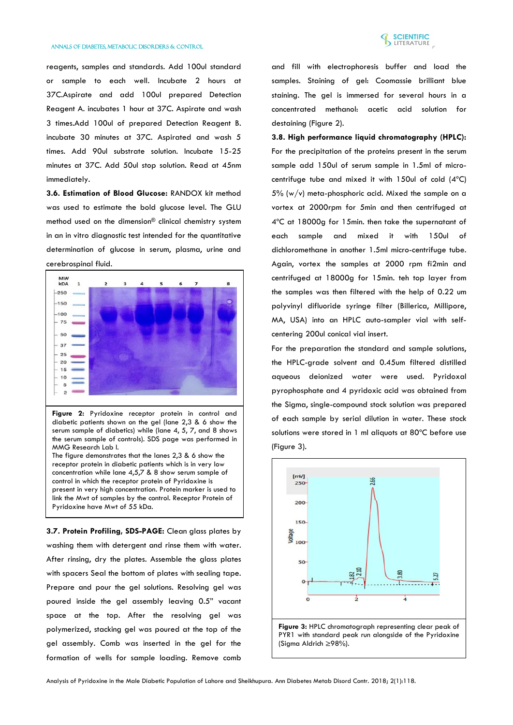

reagents, samples and standards. Add 100ul standard or sample to each well. Incubate 2 hours at 37C.Aspirate and add 100ul prepared Detection Reagent A. incubates 1 hour at 37C. Aspirate and wash 3 times.Add 100ul of prepared Detection Reagent B. incubate 30 minutes at 37C. Aspirated and wash 5 times. Add 90ul substrate solution. Incubate 15-25 minutes at 37C. Add 50ul stop solution. Read at 45nm immediately.

**3.6. Estimation of Blood Glucose:** RANDOX kit method was used to estimate the bold glucose level. The GLU method used on the dimension® clinical chemistry system in an in vitro diagnostic test intended for the quantitative determination of glucose in serum, plasma, urine and cerebrospinal fluid.



**Figure 2:** Pyridoxine receptor protein in control and diabetic patients shown on the gel (lane 2,3 & 6 show the serum sample of diabetics) while (lane 4, 5, 7, and 8 shows the serum sample of controls). SDS page was performed in MMG Research Lab I. The figure demonstrates that the lanes 2,3 & 6 show the receptor protein in diabetic patients which is in very low

concentration while lane 4,5,7 & 8 show serum sample of control in which the receptor protein of Pyridoxine is present in very high concentration. Protein marker is used to link the Mwt of samples by the control. Receptor Protein of Pyridoxine have Mwt of 55 kDa.

**3.7. Protein Profiling, SDS-PAGE:** Clean glass plates by washing them with detergent and rinse them with water. After rinsing, dry the plates. Assemble the glass plates with spacers Seal the bottom of plates with sealing tape. Prepare and pour the gel solutions. Resolving gel was poured inside the gel assembly leaving 0.5" vacant space at the top. After the resolving gel was polymerized, stacking gel was poured at the top of the gel assembly. Comb was inserted in the gel for the formation of wells for sample loading. Remove comb

and fill with electrophoresis buffer and load the samples. Staining of gel: Coomassie brilliant blue staining. The gel is immersed for several hours in a concentrated methanol: acetic acid solution for destaining (Figure 2).

**3.8. High performance liquid chromatography (HPLC):**  For the precipitation of the proteins present in the serum sample add 150ul of serum sample in 1.5ml of microcentrifuge tube and mixed it with 150ul of cold (4ºC) 5% (w/v) meta-phosphoric acid. Mixed the sample on a vortex at 2000rpm for 5min and then centrifuged at 4ºC at 18000g for 15min. then take the supernatant of each sample and mixed it with 150ul of dichloromethane in another 1.5ml micro-centrifuge tube. Again, vortex the samples at 2000 rpm fi2min and centrifuged at 18000g for 15min. teh top layer from the samples was then filtered with the help of 0.22 um polyvinyl difluoride syringe filter (Billerica, Millipore, MA, USA) into an HPLC auto-sampler vial with selfcentering 200ul conical vial insert.

For the preparation the standard and sample solutions, the HPLC-grade solvent and 0.45um filtered distilled aqueous deionized water were used. Pyridoxal pyrophosphate and 4 pyridoxic acid was obtained from the Sigma, single-compound stock solution was prepared of each sample by serial dilution in water. These stock solutions were stored in 1 ml aliquots at 80ºC before use (Figure 3).



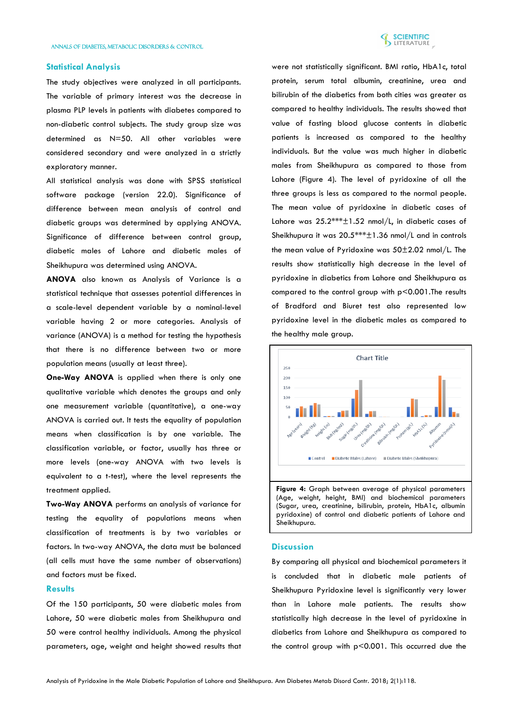

# **Statistical Analysis**

The study objectives were analyzed in all participants. The variable of primary interest was the decrease in plasma PLP levels in patients with diabetes compared to non-diabetic control subjects. The study group size was determined as N=50. All other variables were considered secondary and were analyzed in a strictly exploratory manner.

All statistical analysis was done with SPSS statistical software package (version 22.0). Significance of difference between mean analysis of control and diabetic groups was determined by applying ANOVA. Significance of difference between control group, diabetic males of Lahore and diabetic males of Sheikhupura was determined using ANOVA.

**ANOVA** also known as Analysis of Variance is a statistical technique that assesses potential differences in a scale-level dependent variable by a nominal-level variable having 2 or more categories. Analysis of variance (ANOVA) is a method for testing the hypothesis that there is no difference between two or more population means (usually at least three).

**One-Way ANOVA** is applied when there is only one qualitative variable which denotes the groups and only one measurement variable (quantitative), a one-way ANOVA is carried out. It tests the equality of population means when classification is by one variable. The classification variable, or factor, usually has three or more levels (one-way ANOVA with two levels is equivalent to a t-test), where the level represents the treatment applied.

**Two-Way ANOVA** performs an analysis of variance for testing the equality of populations means when classification of treatments is by two variables or factors. In two-way ANOVA, the data must be balanced (all cells must have the same number of observations) and factors must be fixed.

# **Results**

Of the 150 participants, 50 were diabetic males from Lahore, 50 were diabetic males from Sheikhupura and 50 were control healthy individuals. Among the physical parameters, age, weight and height showed results that

were not statistically significant. BMI ratio, HbA1c, total protein, serum total albumin, creatinine, urea and bilirubin of the diabetics from both cities was greater as compared to healthy individuals. The results showed that value of fasting blood glucose contents in diabetic patients is increased as compared to the healthy individuals. But the value was much higher in diabetic males from Sheikhupura as compared to those from Lahore (Figure 4). The level of pyridoxine of all the three groups is less as compared to the normal people. The mean value of pyridoxine in diabetic cases of Lahore was 25.2\*\*\*±1.52 nmol/L, in diabetic cases of Sheikhupura it was 20.5\*\*\*±1.36 nmol/L and in controls the mean value of Pyridoxine was 50±2.02 nmol/L. The results show statistically high decrease in the level of pyridoxine in diabetics from Lahore and Sheikhupura as compared to the control group with p<0.001.The results of Bradford and Biuret test also represented low pyridoxine level in the diabetic males as compared to the healthy male group.



(Age, weight, height, BMI) and biochemical parameters (Sugar, urea, creatinine, bilirubin, protein, HbA1c, albumin pyridoxine) of control and diabetic patients of Lahore and Sheikhupura.

# **Discussion**

By comparing all physical and biochemical parameters it is concluded that in diabetic male patients of Sheikhupura Pyridoxine level is significantly very lower than in Lahore male patients. The results show statistically high decrease in the level of pyridoxine in diabetics from Lahore and Sheikhupura as compared to the control group with p<0.001. This occurred due the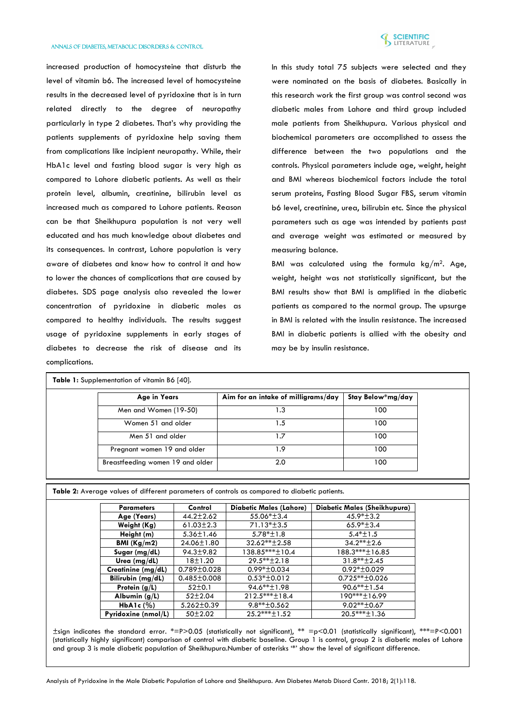

increased production of homocysteine that disturb the level of vitamin b6. The increased level of homocysteine results in the decreased level of pyridoxine that is in turn related directly to the degree of neuropathy particularly in type 2 diabetes. That's why providing the patients supplements of pyridoxine help saving them from complications like incipient neuropathy. While, their HbA1c level and fasting blood sugar is very high as compared to Lahore diabetic patients. As well as their protein level, albumin, creatinine, bilirubin level as increased much as compared to Lahore patients. Reason can be that Sheikhupura population is not very well educated and has much knowledge about diabetes and its consequences. In contrast, Lahore population is very aware of diabetes and know how to control it and how to lower the chances of complications that are caused by diabetes. SDS page analysis also revealed the lower concentration of pyridoxine in diabetic males as compared to healthy individuals. The results suggest usage of pyridoxine supplements in early stages of diabetes to decrease the risk of disease and its complications.

In this study total 75 subjects were selected and they were nominated on the basis of diabetes. Basically in this research work the first group was control second was diabetic males from Lahore and third group included male patients from Sheikhupura. Various physical and biochemical parameters are accomplished to assess the difference between the two populations and the controls. Physical parameters include age, weight, height and BMI whereas biochemical factors include the total serum proteins, Fasting Blood Sugar FBS, serum vitamin b6 level, creatinine, urea, bilirubin etc. Since the physical parameters such as age was intended by patients past and average weight was estimated or measured by measuring balance.

BMI was calculated using the formula  $kg/m^2$ . Age, weight, height was not statistically significant, but the BMI results show that BMI is amplified in the diabetic patients as compared to the normal group. The upsurge in BMI is related with the insulin resistance. The increased BMI in diabetic patients is allied with the obesity and may be by insulin resistance.

| Table 1: Supplementation of vitamin B6 [40]. |                                     |                   |  |  |  |  |
|----------------------------------------------|-------------------------------------|-------------------|--|--|--|--|
| Age in Years                                 | Aim for an intake of milligrams/day | Stay Below*mg/day |  |  |  |  |
| Men and Women (19-50)                        | 3. ا                                | 100               |  |  |  |  |
| Women 51 and older                           | . . 5                               | 100               |  |  |  |  |
| Men 51 and older                             | .7                                  | 100               |  |  |  |  |
| Pregnant women 19 and older                  | <b>1.9</b>                          | 100               |  |  |  |  |
| Breastfeeding women 19 and older             | 2.0                                 | 100               |  |  |  |  |

| ,我们就会不会不会。""我们,我们也不会不会不会。""我们,我们也不会不会不会不会不会不会。""我们,我们也不会不会不会不会不会。""我们,我们也不会不会不会不<br>,我们就会在这里,我们的人们就会在这里,我们就会在这里,我们就会在这里,我们就会在这里,我们就会在这里,我们就会在这里,我们就会在这里,我们就会在这里,我们就会 |  |  |
|----------------------------------------------------------------------------------------------------------------------------------------------------------------------|--|--|
|                                                                                                                                                                      |  |  |
|                                                                                                                                                                      |  |  |

**Table 2:** Average values of different parameters of controls as compared to diabetic patients.

| <b>Parameters</b>   | Control           | <b>Diabetic Males (Lahore)</b> | Diabetic Males (Sheikhupura) |
|---------------------|-------------------|--------------------------------|------------------------------|
| Age (Years)         | $44.2 \pm 2.62$   | 55.06*±3.4                     | $45.9* \pm 3.2$              |
| Weight (Kg)         | $61.03 \pm 2.3$   | $71.13* \pm 3.5$               | $65.9*+3.4$                  |
| Height (m)          | 5.36±1.46         | $5.78*+1.8$                    | $5.4* \pm 1.5$               |
| BMI $(Kg/m2)$       | 24.06±1.80        | $32.62***+2.58$                | $34.2***+2.6$                |
| Sugar (mg/dL)       | $94.3 \pm 9.82$   | 138.85***+10.4                 | 188.3****±16.85              |
| Urea ( $mg/dL$ )    | 18±1.20           | $29.5***+2.18$                 | $31.8***+2.45$               |
| Creatinine (mg/dL)  | $0.789 \pm 0.028$ | $0.99*+0.034$                  | $0.92*+0.029$                |
| Bilirubin (mg/dL)   | $0.485 \pm 0.008$ | $0.53*+0.012$                  | $0.725***+0.026$             |
| Protein $(g/L)$     | $52 \pm 0.1$      | 94.6**±1.98                    | 90.6**±1.54                  |
| Albumin $(g/L)$     | $52 \pm 2.04$     | $212.5***+18.4$                | 190***±16.99                 |
| HbA1c $(%)$         | $5.262 \pm 0.39$  | $9.8***+0.562$                 | $9.02**+0.67$                |
| Pyridoxine (nmol/L) | $50+2.02$         | $25.2***\pm1.52$               | $20.5***+1.36$               |

±sign indicates the standard error. \*=P>0.05 (statistically not significant), \*\* =p<0.01 (statistically significant), \*\*\*=P<0.001 (statistically highly significant) comparison of control with diabetic baseline. Group 1 is control, group 2 is diabetic males of Lahore and group 3 is male diabetic population of Sheikhupura.Number of asterisks '\*' show the level of significant difference.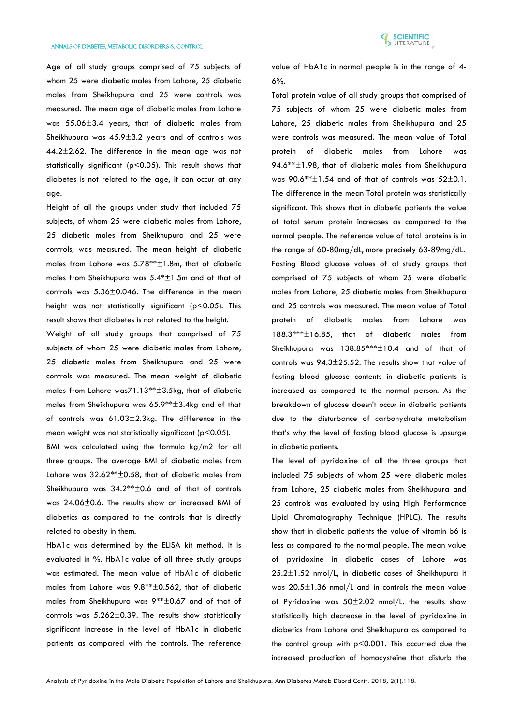

Age of all study groups comprised of 75 subjects of whom 25 were diabetic males from Lahore, 25 diabetic males from Sheikhupura and 25 were controls was measured. The mean age of diabetic males from Lahore was 55.06±3.4 years, that of diabetic males from Sheikhupura was 45.9±3.2 years and of controls was 44.2±2.62. The difference in the mean age was not statistically significant (p<0.05). This result shows that diabetes is not related to the age, it can occur at any age.

Height of all the groups under study that included 75 subjects, of whom 25 were diabetic males from Lahore, 25 diabetic males from Sheikhupura and 25 were controls, was measured. The mean height of diabetic males from Lahore was 5.78\*\*±1.8m, that of diabetic males from Sheikhupura was 5.4\*±1.5m and of that of controls was 5.36±0.046. The difference in the mean height was not statistically significant (p<0.05). This result shows that diabetes is not related to the height.

Weight of all study groups that comprised of 75 subjects of whom 25 were diabetic males from Lahore, 25 diabetic males from Sheikhupura and 25 were controls was measured. The mean weight of diabetic males from Lahore was71.13\*\*±3.5kg, that of diabetic males from Sheikhupura was 65.9\*\*±3.4kg and of that of controls was 61.03±2.3kg. The difference in the mean weight was not statistically significant (p<0.05).

BMI was calculated using the formula kg/m2 for all three groups. The average BMI of diabetic males from Lahore was 32.62\*\*±0.58, that of diabetic males from Sheikhupura was 34.2\*\*±0.6 and of that of controls was 24.06±0.6. The results show an increased BMI of diabetics as compared to the controls that is directly related to obesity in them.

HbA1c was determined by the ELISA kit method. It is evaluated in %. HbA1c value of all three study groups was estimated. The mean value of HbA1c of diabetic males from Lahore was 9.8\*\*±0.562, that of diabetic males from Sheikhupura was 9\*\*±0.67 and of that of controls was 5.262±0.39. The results show statistically significant increase in the level of HbA1c in diabetic patients as compared with the controls. The reference

value of HbA1c in normal people is in the range of 4- 6%.

Total protein value of all study groups that comprised of 75 subjects of whom 25 were diabetic males from Lahore, 25 diabetic males from Sheikhupura and 25 were controls was measured. The mean value of Total protein of diabetic males from Lahore was 94.6\*\*±1.98, that of diabetic males from Sheikhupura was 90.6\*\*±1.54 and of that of controls was 52±0.1. The difference in the mean Total protein was statistically significant. This shows that in diabetic patients the value of total serum protein increases as compared to the normal people. The reference value of total proteins is in the range of 60-80mg/dL, more precisely 63-89mg/dL. Fasting Blood glucose values of al study groups that comprised of 75 subjects of whom 25 were diabetic males from Lahore, 25 diabetic males from Sheikhupura and 25 controls was measured. The mean value of Total protein of diabetic males from Lahore was 188.3\*\*\*±16.85, that of diabetic males from Sheikhupura was 138.85\*\*\*±10.4 and of that of controls was 94.3±25.52. The results show that value of fasting blood glucose contents in diabetic patients is increased as compared to the normal person. As the breakdown of glucose doesn't occur in diabetic patients due to the disturbance of carbohydrate metabolism that's why the level of fasting blood glucose is upsurge in diabetic patients.

The level of pyridoxine of all the three groups that included 75 subjects of whom 25 were diabetic males from Lahore, 25 diabetic males from Sheikhupura and 25 controls was evaluated by using High Performance Lipid Chromatography Technique (HPLC). The results show that in diabetic patients the value of vitamin b6 is less as compared to the normal people. The mean value of pyridoxine in diabetic cases of Lahore was 25.2±1.52 nmol/L, in diabetic cases of Sheikhupura it was 20.5±1.36 nmol/L and in controls the mean value of Pyridoxine was 50±2.02 nmol/L. the results show statistically high decrease in the level of pyridoxine in diabetics from Lahore and Sheikhupura as compared to the control group with p<0.001. This occurred due the increased production of homocysteine that disturb the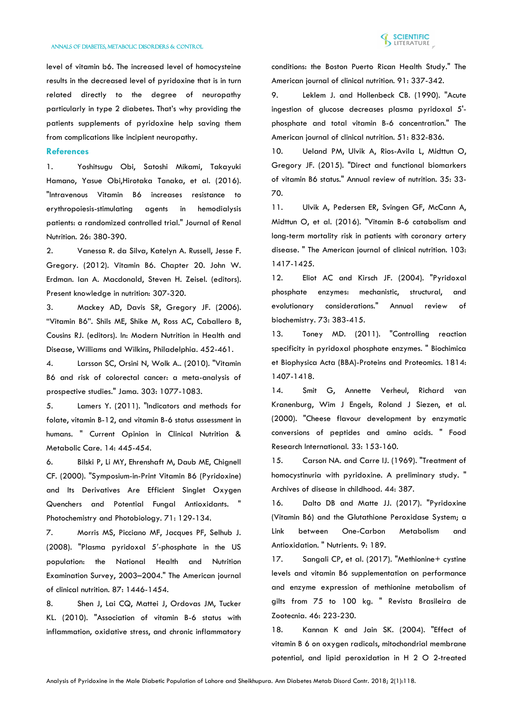

level of vitamin b6. The increased level of homocysteine results in the decreased level of pyridoxine that is in turn related directly to the degree of neuropathy particularly in type 2 diabetes. That's why providing the patients supplements of pyridoxine help saving them from complications like incipient neuropathy.

# **References**

1. [Yoshitsugu Obi, Satoshi Mikami, Takayuki](https://www.jrnjournal.org/article/S1051-2276(16)30054-1/abstract)  [Hamano, Yasue Obi,Hirotaka Tanaka, et al. \(2016\).](https://www.jrnjournal.org/article/S1051-2276(16)30054-1/abstract)  ["Intravenous Vitamin B6 increases resistance to](https://www.jrnjournal.org/article/S1051-2276(16)30054-1/abstract)  [erythropoiesis-stimulating agents in hemodialysis](https://www.jrnjournal.org/article/S1051-2276(16)30054-1/abstract)  [patients: a randomized controlled trial." Journal of Renal](https://www.jrnjournal.org/article/S1051-2276(16)30054-1/abstract)  [Nutrition. 26: 380-390.](https://www.jrnjournal.org/article/S1051-2276(16)30054-1/abstract)

2. [Vanessa R. da Silva, Katelyn](https://onlinelibrary.wiley.com/doi/abs/10.1002/9781119946045.ch20) A. Russell, Jesse F. [Gregory. \(2012\). Vitamin B6. Chapter 20. John W.](https://onlinelibrary.wiley.com/doi/abs/10.1002/9781119946045.ch20)  [Erdman. Ian A. Macdonald, Steven H. Zeisel. \(editors\).](https://onlinelibrary.wiley.com/doi/abs/10.1002/9781119946045.ch20)  [Present knowledge in nutrition: 307-320.](https://onlinelibrary.wiley.com/doi/abs/10.1002/9781119946045.ch20)

3. [Mackey AD, Davis SR, Gregory JF. \(2006\).](https://www.scirp.org/reference/ReferencesPapers.aspx?ReferenceID=559790)  ["Vitamin B6". Shils ME, Shike M, Ross AC, Caballero B,](https://www.scirp.org/reference/ReferencesPapers.aspx?ReferenceID=559790)  [Cousins RJ. \(editors\). In: Modern Nutrition in Health and](https://www.scirp.org/reference/ReferencesPapers.aspx?ReferenceID=559790)  [Disease, Williams and Wilkins, Philadelphia. 452-461.](https://www.scirp.org/reference/ReferencesPapers.aspx?ReferenceID=559790)

4. [Larsson SC, Orsini N, Wolk A.. \(2010\). "Vitamin](https://www.ncbi.nlm.nih.gov/pubmed/20233826)  [B6 and risk of colorectal cancer: a meta-analysis of](https://www.ncbi.nlm.nih.gov/pubmed/20233826)  [prospective studies." Jama. 303: 1077-1083.](https://www.ncbi.nlm.nih.gov/pubmed/20233826)

5. [Lamers Y. \(2011\). "Indicators and methods for](https://www.ncbi.nlm.nih.gov/pubmed/21832901)  [folate, vitamin B-12, and vitamin B-6 status assessment in](https://www.ncbi.nlm.nih.gov/pubmed/21832901)  [humans. " Current Opinion in Clinical Nutrition &](https://www.ncbi.nlm.nih.gov/pubmed/21832901)  [Metabolic Care. 14: 445-454.](https://www.ncbi.nlm.nih.gov/pubmed/21832901)

6. [Bilski P, Li MY, Ehrenshaft M, Daub ME, Chignell](https://www.ncbi.nlm.nih.gov/pubmed/10687384)  [CF. \(2000\). "Symposium-in-Print Vitamin B6 \(Pyridoxine\)](https://www.ncbi.nlm.nih.gov/pubmed/10687384)  [and Its Derivatives Are Efficient Singlet Oxygen](https://www.ncbi.nlm.nih.gov/pubmed/10687384)  [Quenchers and Potential Fungal Antioxidants. "](https://www.ncbi.nlm.nih.gov/pubmed/10687384)  [Photochemistry and Photobiology. 71: 129-134.](https://www.ncbi.nlm.nih.gov/pubmed/10687384)

7. Morris [MS, Picciano MF, Jacques PF, Selhub J.](https://www.ncbi.nlm.nih.gov/pubmed/18469270)  [\(2008\). "Plasma pyridoxal 5](https://www.ncbi.nlm.nih.gov/pubmed/18469270)′-phosphate in the US [population: the National Health and Nutrition](https://www.ncbi.nlm.nih.gov/pubmed/18469270)  [Examination Survey, 2003–2004." The American journal](https://www.ncbi.nlm.nih.gov/pubmed/18469270)  [of clinical nutrition. 87: 1446-1454.](https://www.ncbi.nlm.nih.gov/pubmed/18469270)

8. [Shen J, Lai CQ, Mattei J, Ordovas JM, Tucker](https://europepmc.org/abstract/med/19955400)  [KL. \(2010\). "Association of vitamin B-6 status with](https://europepmc.org/abstract/med/19955400)  [inflammation, oxidative stress, and chronic inflammatory](https://europepmc.org/abstract/med/19955400) 

[conditions: the Boston Puerto Rican Health Study." The](https://europepmc.org/abstract/med/19955400)  American journal of [clinical nutrition. 91: 337-342.](https://europepmc.org/abstract/med/19955400)

9. [Leklem J. and Hollenbeck CB. \(1990\). "Acute](https://www.ncbi.nlm.nih.gov/pubmed/?term=Leklem+J.+and+Hollenbeck+CB.+(1990).)  [ingestion of glucose decreases plasma pyridoxal 5'](https://www.ncbi.nlm.nih.gov/pubmed/?term=Leklem+J.+and+Hollenbeck+CB.+(1990).) [phosphate and total vitamin B-6 concentration." The](https://www.ncbi.nlm.nih.gov/pubmed/?term=Leklem+J.+and+Hollenbeck+CB.+(1990).)  [American journal of clinical nutrition. 51: 832-836.](https://www.ncbi.nlm.nih.gov/pubmed/?term=Leklem+J.+and+Hollenbeck+CB.+(1990).)

10. [Ueland PM, Ulvik A, Rios-Avila L, Midttun O,](https://www.unboundmedicine.com/medline/citation/25974692/Direct_and_Functional_Biomarkers_of_Vitamin_B6_Status_)  [Gregory JF. \(2015\). "Direct and functional biomarkers](https://www.unboundmedicine.com/medline/citation/25974692/Direct_and_Functional_Biomarkers_of_Vitamin_B6_Status_)  [of vitamin B6 status." Annual review of nutrition. 35: 33-](https://www.unboundmedicine.com/medline/citation/25974692/Direct_and_Functional_Biomarkers_of_Vitamin_B6_Status_) [70.](https://www.unboundmedicine.com/medline/citation/25974692/Direct_and_Functional_Biomarkers_of_Vitamin_B6_Status_)

11. [Ulvik A, Pedersen ER, Svingen GF, McCann A,](https://www.ncbi.nlm.nih.gov/pubmed/27169836)  [Midttun O, et al. \(2016\). "Vitamin B-6 catabolism and](https://www.ncbi.nlm.nih.gov/pubmed/27169836)  [long-term mortality risk in patients with coronary artery](https://www.ncbi.nlm.nih.gov/pubmed/27169836)  [disease. " The American journal of clinical nutrition. 103:](https://www.ncbi.nlm.nih.gov/pubmed/27169836)  [1417-1425.](https://www.ncbi.nlm.nih.gov/pubmed/27169836)

12. [Eliot AC and Kirsch JF. \(2004\). "Pyridoxal](https://www.ncbi.nlm.nih.gov/pubmed/15189147)  [phosphate enzymes: mechanistic, structural, and](https://www.ncbi.nlm.nih.gov/pubmed/15189147)  [evolutionary considerations." Annual review of](https://www.ncbi.nlm.nih.gov/pubmed/15189147)  [biochemistry. 73: 383-415.](https://www.ncbi.nlm.nih.gov/pubmed/15189147)

13. [Toney MD. \(2011\). "Controlling reaction](https://ucdavis.pure.elsevier.com/en/publications/controlling-reaction-specificity-in-pyridoxal-phosphate-enzymes)  [specificity in pyridoxal phosphate enzymes. " Biochimica](https://ucdavis.pure.elsevier.com/en/publications/controlling-reaction-specificity-in-pyridoxal-phosphate-enzymes)  [et Biophysica Acta \(BBA\)-Proteins and Proteomics. 1814:](https://ucdavis.pure.elsevier.com/en/publications/controlling-reaction-specificity-in-pyridoxal-phosphate-enzymes)  [1407-1418.](https://ucdavis.pure.elsevier.com/en/publications/controlling-reaction-specificity-in-pyridoxal-phosphate-enzymes)

14. [Smit G, Annette Verheul, Richard van](https://www.cabdirect.org/cabdirect/abstract/20000405073)  Kranenburg, [Wim J Engels, Roland J Siezen, et al.](https://www.cabdirect.org/cabdirect/abstract/20000405073)  [\(2000\). "Cheese flavour development by enzymatic](https://www.cabdirect.org/cabdirect/abstract/20000405073)  [conversions of peptides and amino acids. " Food](https://www.cabdirect.org/cabdirect/abstract/20000405073)  [Research International. 33: 153-160.](https://www.cabdirect.org/cabdirect/abstract/20000405073)

15. [Carson NA. and Carre IJ. \(1969\). "Treatment of](https://www.ncbi.nlm.nih.gov/pmc/articles/PMC2020308/)  [homocystinuria with pyridoxine. A preliminary study. "](https://www.ncbi.nlm.nih.gov/pmc/articles/PMC2020308/)  [Archives of disease in childhood. 44: 387.](https://www.ncbi.nlm.nih.gov/pmc/articles/PMC2020308/)

16. [Dalto DB and Matte JJ. \(2017\). "Pyridoxine](https://www.ncbi.nlm.nih.gov/pmc/articles/PMC5372852/)  [\(Vitamin B6\) and the Glutathione Peroxidase System; a](https://www.ncbi.nlm.nih.gov/pmc/articles/PMC5372852/)  [Link between One-Carbon Metabolism and](https://www.ncbi.nlm.nih.gov/pmc/articles/PMC5372852/)  [Antioxidation. " Nutrients. 9: 189.](https://www.ncbi.nlm.nih.gov/pmc/articles/PMC5372852/)

17. Sangali CP, et al. (2017). "Methionine+ cystine [levels and vitamin B6 supplementation on performance](http://www.scielo.br/scielo.php?pid=S1516-35982017000300223&script=sci_abstract)  [and enzyme expression of methionine metabolism of](http://www.scielo.br/scielo.php?pid=S1516-35982017000300223&script=sci_abstract)  [gilts from 75 to 100 kg. " Revista Brasileira de](http://www.scielo.br/scielo.php?pid=S1516-35982017000300223&script=sci_abstract)  [Zootecnia. 46: 223-230.](http://www.scielo.br/scielo.php?pid=S1516-35982017000300223&script=sci_abstract)

18. [Kannan K and Jain SK.](https://www.ncbi.nlm.nih.gov/pubmed/14975445) (2004). "Effect of [vitamin B 6 on oxygen radicals, mitochondrial membrane](https://www.ncbi.nlm.nih.gov/pubmed/14975445)  [potential, and lipid peroxidation in H 2 O 2-treated](https://www.ncbi.nlm.nih.gov/pubmed/14975445)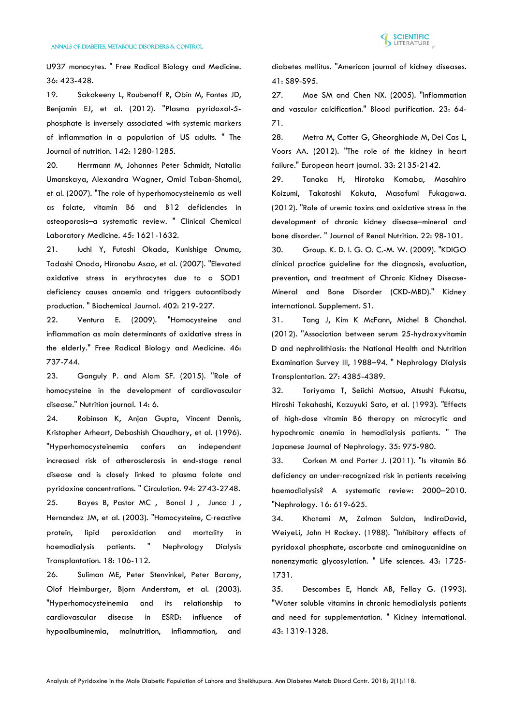

U937 monocytes. " Free Radical Biology and Medicine. 36: 423-428.

19. [Sakakeeny L, Roubenoff R, Obin M, Fontes JD,](https://www.ncbi.nlm.nih.gov/pubmed/22623384)  [Benjamin EJ, et al. \(2012\). "Plasma pyridoxal-5](https://www.ncbi.nlm.nih.gov/pubmed/22623384) [phosphate is inversely associated with systemic markers](https://www.ncbi.nlm.nih.gov/pubmed/22623384)  [of inflammation in a population of US adults. " The](https://www.ncbi.nlm.nih.gov/pubmed/22623384)  [Journal of nutrition. 142: 1280-1285.](https://www.ncbi.nlm.nih.gov/pubmed/22623384)

20. [Herrmann M, Johannes Peter Schmidt, Natalia](https://www.researchgate.net/publication/5781792_The_role_of_hyperhomocysteinemia_as_well_as_folate_vitamin_B6_and_B12_deficiencies_in_osteoporosis_-_A_systematic_review)  [Umanskaya, Alexandra Wagner, Omid Taban-Shomal,](https://www.researchgate.net/publication/5781792_The_role_of_hyperhomocysteinemia_as_well_as_folate_vitamin_B6_and_B12_deficiencies_in_osteoporosis_-_A_systematic_review)  [et al. \(2007\). "The role of hyperhomocysteinemia as well](https://www.researchgate.net/publication/5781792_The_role_of_hyperhomocysteinemia_as_well_as_folate_vitamin_B6_and_B12_deficiencies_in_osteoporosis_-_A_systematic_review)  [as folate, vitamin B6 and B12 deficiencies in](https://www.researchgate.net/publication/5781792_The_role_of_hyperhomocysteinemia_as_well_as_folate_vitamin_B6_and_B12_deficiencies_in_osteoporosis_-_A_systematic_review)  [osteoporosis–a systematic review. " Clinical Chemical](https://www.researchgate.net/publication/5781792_The_role_of_hyperhomocysteinemia_as_well_as_folate_vitamin_B6_and_B12_deficiencies_in_osteoporosis_-_A_systematic_review)  [Laboratory Medicine. 45: 1621-1632.](https://www.researchgate.net/publication/5781792_The_role_of_hyperhomocysteinemia_as_well_as_folate_vitamin_B6_and_B12_deficiencies_in_osteoporosis_-_A_systematic_review)

21. [Iuchi Y, Futoshi Okada, Kunishige Onuma,](https://www.ncbi.nlm.nih.gov/pmc/articles/PMC1798435/)  [Tadashi Onoda, Hironobu Asao, et al. \(2007\). "Elevated](https://www.ncbi.nlm.nih.gov/pmc/articles/PMC1798435/)  [oxidative stress in erythrocytes due to a SOD1](https://www.ncbi.nlm.nih.gov/pmc/articles/PMC1798435/)  [deficiency causes anaemia and triggers autoantibody](https://www.ncbi.nlm.nih.gov/pmc/articles/PMC1798435/)  [production. " Biochemical Journal. 402: 219-227.](https://www.ncbi.nlm.nih.gov/pmc/articles/PMC1798435/)

22. [Ventura E. \(2009\). "Homocysteine and](https://dokumen.tips/documents/homocysteine-and-inflammation-as-main-determinants-of-oxidative-stress-in-the.html)  [inflammation as main determinants of oxidative stress in](https://dokumen.tips/documents/homocysteine-and-inflammation-as-main-determinants-of-oxidative-stress-in-the.html)  [the elderly." Free Radical Biology and Medicine. 46:](https://dokumen.tips/documents/homocysteine-and-inflammation-as-main-determinants-of-oxidative-stress-in-the.html)  [737-744.](https://dokumen.tips/documents/homocysteine-and-inflammation-as-main-determinants-of-oxidative-stress-in-the.html)

23. [Ganguly P. and Alam SF. \(2015\). "Role of](https://nutritionj.biomedcentral.com/articles/10.1186/1475-2891-14-6)  [homocysteine in the development of cardiovascular](https://nutritionj.biomedcentral.com/articles/10.1186/1475-2891-14-6)  [disease." Nutrition journal. 14: 6.](https://nutritionj.biomedcentral.com/articles/10.1186/1475-2891-14-6)

24. [Robinson K, Anjan Gupta, Vincent Dennis,](http://circ.ahajournals.org/content/94/11/2743)  [Kristopher Arheart, Debashish Chaudhary, et al. \(1996\).](http://circ.ahajournals.org/content/94/11/2743)  ["Hyperhomocysteinemia confers an independent](http://circ.ahajournals.org/content/94/11/2743)  [increased risk of atherosclerosis in end-stage renal](http://circ.ahajournals.org/content/94/11/2743)  [disease and is closely linked to plasma folate and](http://circ.ahajournals.org/content/94/11/2743)  [pyridoxine concentrations. " Circulation. 94: 2743-2748.](http://circ.ahajournals.org/content/94/11/2743) 25. Bayes B, Pastor MC, Bonal J, Junca J, [Hernandez JM, et al. \(2003\). "Homocysteine, C](http://europepmc.org/abstract/med/12480967)‐reactive [protein, lipid peroxidation and mortality in](http://europepmc.org/abstract/med/12480967)  [haemodialysis patients. " Nephrology Dialysis](http://europepmc.org/abstract/med/12480967)  [Transplantation. 18: 106-112.](http://europepmc.org/abstract/med/12480967)

26. [Suliman ME, Peter Stenvinkel, Peter Barany,](https://www.ajkd.org/article/S0272-6386(03)50072-5/abstract)  [Olof Heimburger, Bjorn Anderstam, et al. \(2003\).](https://www.ajkd.org/article/S0272-6386(03)50072-5/abstract)  ["Hyperhomocysteinemia and its relationship to](https://www.ajkd.org/article/S0272-6386(03)50072-5/abstract)  [cardiovascular disease in ESRD: influence of](https://www.ajkd.org/article/S0272-6386(03)50072-5/abstract)  [hypoalbuminemia, malnutrition, inflammation, and](https://www.ajkd.org/article/S0272-6386(03)50072-5/abstract) 

[diabetes mellitus. "American journal of kidney diseases.](https://www.ajkd.org/article/S0272-6386(03)50072-5/abstract)  [41: S89-S95.](https://www.ajkd.org/article/S0272-6386(03)50072-5/abstract)

27. [Moe SM and Chen NX. \(2005\). "Inflammation](https://indiana.pure.elsevier.com/en/publications/inflammation-and-vascular-calcification)  [and vascular calcification." Blood purification. 23: 64-](https://indiana.pure.elsevier.com/en/publications/inflammation-and-vascular-calcification) [71.](https://indiana.pure.elsevier.com/en/publications/inflammation-and-vascular-calcification)

28. [Metra M, Cotter G, Gheorghiade M, Dei Cas L,](https://www.ncbi.nlm.nih.gov/pubmed/22888113)  [Voors AA. \(2012\). "The role of the kidney in heart](https://www.ncbi.nlm.nih.gov/pubmed/22888113)  [failure." European heart journal. 33: 2135-2142.](https://www.ncbi.nlm.nih.gov/pubmed/22888113)

29. [Tanaka H, Hirotaka Komaba, Masahiro](https://www.jrnjournal.org/article/S1051-2276(11)00221-4/abstract?code=yjren-site)  [Koizumi, Takatoshi Kakuta, Masafumi Fukagawa.](https://www.jrnjournal.org/article/S1051-2276(11)00221-4/abstract?code=yjren-site)  [\(2012\). "Role of uremic toxins and oxidative stress in the](https://www.jrnjournal.org/article/S1051-2276(11)00221-4/abstract?code=yjren-site)  [development of chronic kidney disease–mineral and](https://www.jrnjournal.org/article/S1051-2276(11)00221-4/abstract?code=yjren-site)  [bone disorder. " Journal of Renal Nutrition. 22: 98-101.](https://www.jrnjournal.org/article/S1051-2276(11)00221-4/abstract?code=yjren-site)

30. [Group. K. D. I. G. O. C.-M. W. \(2009\). "KDIGO](https://www.ncbi.nlm.nih.gov/pubmed/19644521)  [clinical practice guideline for the diagnosis, evaluation,](https://www.ncbi.nlm.nih.gov/pubmed/19644521)  [prevention, and treatment of Chronic Kidney Disease-](https://www.ncbi.nlm.nih.gov/pubmed/19644521)[Mineral and Bone Disorder \(CKD-MBD\)." Kidney](https://www.ncbi.nlm.nih.gov/pubmed/19644521)  [international. Supplement. S1.](https://www.ncbi.nlm.nih.gov/pubmed/19644521)

31. [Tang J, Kim K McFann, Michel B Chonchol.](https://academic.oup.com/ndt/article/27/12/4385/1821645)  [\(2012\). "Association between serum 25-hydroxyvitamin](https://academic.oup.com/ndt/article/27/12/4385/1821645)  [D and nephrolithiasis: the National Health and Nutrition](https://academic.oup.com/ndt/article/27/12/4385/1821645)  [Examination Survey III, 1988–94. " Nephrology Dialysis](https://academic.oup.com/ndt/article/27/12/4385/1821645)  [Transplantation. 27: 4385-4389.](https://academic.oup.com/ndt/article/27/12/4385/1821645)

32. [Toriyama T, Seiichi Matsuo, Atsushi Fukatsu,](https://www.jstage.jst.go.jp/article/jpnjnephrol1959/35/8/35_8_975/_article/-char/ja/)  [Hiroshi Takahashi, Kazuyuki Sato, et al. \(1993\). "Effects](https://www.jstage.jst.go.jp/article/jpnjnephrol1959/35/8/35_8_975/_article/-char/ja/)  [of high-dose vitamin B6 therapy on microcytic and](https://www.jstage.jst.go.jp/article/jpnjnephrol1959/35/8/35_8_975/_article/-char/ja/)  [hypochromic anemia in hemodialysis patients. " The](https://www.jstage.jst.go.jp/article/jpnjnephrol1959/35/8/35_8_975/_article/-char/ja/)  [Japanese Journal of Nephrology. 35: 975-980.](https://www.jstage.jst.go.jp/article/jpnjnephrol1959/35/8/35_8_975/_article/-char/ja/)

33. [Corken M and Porter J. \(2011\). "Is vitamin B6](https://onlinelibrary.wiley.com/doi/abs/10.1111/j.1440-1797.2011.01479.x)  deficiency an under‐[recognized risk in patients receiving](https://onlinelibrary.wiley.com/doi/abs/10.1111/j.1440-1797.2011.01479.x)  [haemodialysis? A systematic review: 2000–2010.](https://onlinelibrary.wiley.com/doi/abs/10.1111/j.1440-1797.2011.01479.x)  ["Nephrology. 16: 619-625.](https://onlinelibrary.wiley.com/doi/abs/10.1111/j.1440-1797.2011.01479.x)

34. [Khatami M, Zalman Suldan, IndiraDavid,](https://www.sciencedirect.com/science/article/pii/0024320588904845)  [WeiyeLi, John H Rockey. \(1988\). "Inhibitory effects of](https://www.sciencedirect.com/science/article/pii/0024320588904845)  [pyridoxal phosphate, ascorbate and aminoguanidine on](https://www.sciencedirect.com/science/article/pii/0024320588904845)  [nonenzymatic glycosylation. " Life sciences. 43: 1725-](https://www.sciencedirect.com/science/article/pii/0024320588904845) [1731.](https://www.sciencedirect.com/science/article/pii/0024320588904845)

35. [Descombes E, Hanck AB, Fellay G. \(1993\).](https://www.ncbi.nlm.nih.gov/pubmed/8315945)  ["Water soluble vitamins in chronic hemodialysis patients](https://www.ncbi.nlm.nih.gov/pubmed/8315945)  [and need for supplementation. " Kidney international.](https://www.ncbi.nlm.nih.gov/pubmed/8315945)  [43: 1319-1328.](https://www.ncbi.nlm.nih.gov/pubmed/8315945)